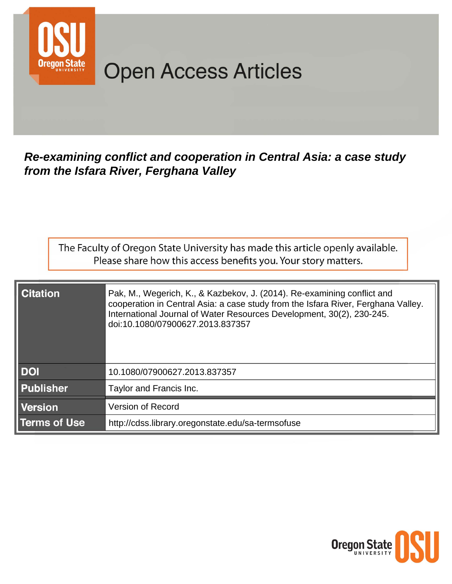

# **Open Access Articles**

# Re-examining conflict and cooperation in Central Asia: a case study from the Isfara River, Ferghana Valley

The Faculty of Oregon State University has made this article openly available. Please share how this access benefits you. Your story matters.

| <b>Citation</b>     | Pak, M., Wegerich, K., & Kazbekov, J. (2014). Re-examining conflict and<br>cooperation in Central Asia: a case study from the Isfara River, Ferghana Valley.<br>International Journal of Water Resources Development, 30(2), 230-245.<br>doi:10.1080/07900627.2013.837357 |
|---------------------|---------------------------------------------------------------------------------------------------------------------------------------------------------------------------------------------------------------------------------------------------------------------------|
| <b>DOI</b>          | 10.1080/07900627.2013.837357                                                                                                                                                                                                                                              |
| <b>Publisher</b>    | Taylor and Francis Inc.                                                                                                                                                                                                                                                   |
| <b>Version</b>      | <b>Version of Record</b>                                                                                                                                                                                                                                                  |
| <b>Terms of Use</b> | http://cdss.library.oregonstate.edu/sa-termsofuse                                                                                                                                                                                                                         |

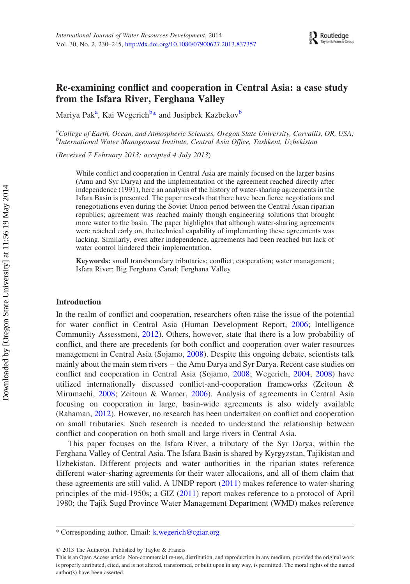

## Re-examining conflict and cooperation in Central Asia: a case study from the Isfara River, Ferghana Valley

M[a](#page-1-0)riya Pak<sup>a</sup>, Kai Wegerich<sup>[b](#page-1-0)</sup>[\\*](#page-1-1) and Jusipbek Kazbekov<sup>b</sup>

<span id="page-1-0"></span><sup>a</sup>College of Earth, Ocean, and Atmospheric Sciences, Oregon State University, Corvallis, OR, USA; <sup>b</sup>International Water Management Institute, Central Asia Office, Tashkent, Uzbekistan

(Received 7 February 2013; accepted 4 July 2013)

While conflict and cooperation in Central Asia are mainly focused on the larger basins (Amu and Syr Darya) and the implementation of the agreement reached directly after independence (1991), here an analysis of the history of water-sharing agreements in the Isfara Basin is presented. The paper reveals that there have been fierce negotiations and renegotiations even during the Soviet Union period between the Central Asian riparian republics; agreement was reached mainly though engineering solutions that brought more water to the basin. The paper highlights that although water-sharing agreements were reached early on, the technical capability of implementing these agreements was lacking. Similarly, even after independence, agreements had been reached but lack of water control hindered their implementation.

Keywords: small transboundary tributaries; conflict; cooperation; water management; Isfara River; Big Ferghana Canal; Ferghana Valley

#### Introduction

In the realm of conflict and cooperation, researchers often raise the issue of the potential for water conflict in Central Asia (Human Development Report, [2006](#page-14-0); Intelligence Community Assessment, [2012\)](#page-14-1). Others, however, state that there is a low probability of conflict, and there are precedents for both conflict and cooperation over water resources management in Central Asia (Sojamo, [2008\)](#page-15-0). Despite this ongoing debate, scientists talk mainly about the main stem rivers – the Amu Darya and Syr Darya. Recent case studies on conflict and cooperation in Central Asia (Sojamo, [2008](#page-15-0); Wegerich, [2004,](#page-15-1) [2008\)](#page-15-2) have utilized internationally discussed conflict-and-cooperation frameworks (Zeitoun & Mirumachi, [2008;](#page-16-0) Zeitoun & Warner, [2006\)](#page-16-1). Analysis of agreements in Central Asia focusing on cooperation in large, basin-wide agreements is also widely available (Rahaman, [2012\)](#page-15-3). However, no research has been undertaken on conflict and cooperation on small tributaries. Such research is needed to understand the relationship between conflict and cooperation on both small and large rivers in Central Asia.

This paper focuses on the Isfara River, a tributary of the Syr Darya, within the Ferghana Valley of Central Asia. The Isfara Basin is shared by Kyrgyzstan, Tajikistan and Uzbekistan. Different projects and water authorities in the riparian states reference different water-sharing agreements for their water allocations, and all of them claim that these agreements are still valid. A UNDP report [\(2011](#page-15-4)) makes reference to water-sharing principles of the mid-1950s; a GIZ ([2011\)](#page-14-2) report makes reference to a protocol of April 1980; the Tajik Sugd Province Water Management Department (WMD) makes reference

*q* 2013 The Author(s). Published by Taylor & Francis

<span id="page-1-1"></span><sup>\*</sup> Corresponding author. Email: [k.wegerich@cgiar.org](mailto:k.wegerich@cgiar.org)

This is an Open Access article. Non-commercial re-use, distribution, and reproduction in any medium, provided the original work is properly attributed, cited, and is not altered, transformed, or built upon in any way, is permitted. The moral rights of the named author(s) have been asserted.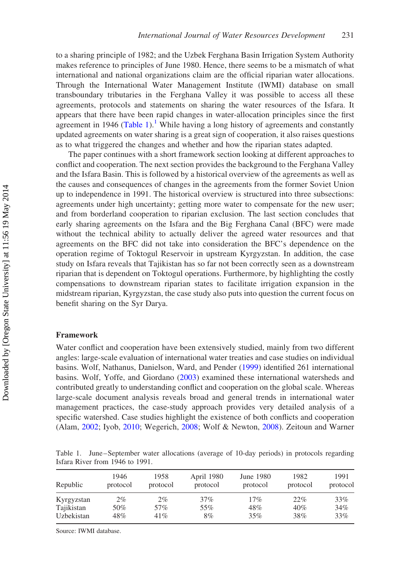to a sharing principle of 1982; and the Uzbek Ferghana Basin Irrigation System Authority makes reference to principles of June 1980. Hence, there seems to be a mismatch of what international and national organizations claim are the official riparian water allocations. Through the International Water Management Institute (IWMI) database on small transboundary tributaries in the Ferghana Valley it was possible to access all these agreements, protocols and statements on sharing the water resources of the Isfara. It appears that there have been rapid changes in water-allocation principles since the first agreement in 1946 ([Table 1](#page-2-0)).<sup>1</sup> While having a long history of agreements and constantly updated agreements on water sharing is a great sign of cooperation, it also raises questions as to what triggered the changes and whether and how the riparian states adapted.

The paper continues with a short framework section looking at different approaches to conflict and cooperation. The next section provides the background to the Ferghana Valley and the Isfara Basin. This is followed by a historical overview of the agreements as well as the causes and consequences of changes in the agreements from the former Soviet Union up to independence in 1991. The historical overview is structured into three subsections: agreements under high uncertainty; getting more water to compensate for the new user; and from borderland cooperation to riparian exclusion. The last section concludes that early sharing agreements on the Isfara and the Big Ferghana Canal (BFC) were made without the technical ability to actually deliver the agreed water resources and that agreements on the BFC did not take into consideration the BFC's dependence on the operation regime of Toktogul Reservoir in upstream Kyrgyzstan. In addition, the case study on Isfara reveals that Tajikistan has so far not been correctly seen as a downstream riparian that is dependent on Toktogul operations. Furthermore, by highlighting the costly compensations to downstream riparian states to facilitate irrigation expansion in the midstream riparian, Kyrgyzstan, the case study also puts into question the current focus on benefit sharing on the Syr Darya.

#### Framework

Water conflict and cooperation have been extensively studied, mainly from two different angles: large-scale evaluation of international water treaties and case studies on individual basins. Wolf, Nathanus, Danielson, Ward, and Pender ([1999\)](#page-16-2) identified 261 international basins. Wolf, Yoffe, and Giordano [\(2003](#page-16-3)) examined these international watersheds and contributed greatly to understanding conflict and cooperation on the global scale. Whereas large-scale document analysis reveals broad and general trends in international water management practices, the case-study approach provides very detailed analysis of a specific watershed. Case studies highlight the existence of both conflicts and cooperation (Alam, [2002](#page-14-3); Iyob, [2010;](#page-14-4) Wegerich, [2008](#page-15-2); Wolf & Newton, [2008](#page-16-4)). Zeitoun and Warner

<span id="page-2-0"></span>Table 1. June –September water allocations (average of 10-day periods) in protocols regarding Isfara River from 1946 to 1991.

| Republic   | 1946<br>protocol | 1958<br>protocol | April 1980<br>protocol | June 1980<br>protocol | 1982<br>protocol | 1991<br>protocol |
|------------|------------------|------------------|------------------------|-----------------------|------------------|------------------|
| Kyrgyzstan | 2%               | $2\%$            | 37%                    | 17%                   | 22%              | 33%              |
| Tajikistan | 50%              | 57%              | 55%                    | 48%                   | 40%              | 34%              |
| Uzbekistan | 48%              | 41%              | 8%                     | 35%                   | 38%              | 33%              |

Source: IWMI database.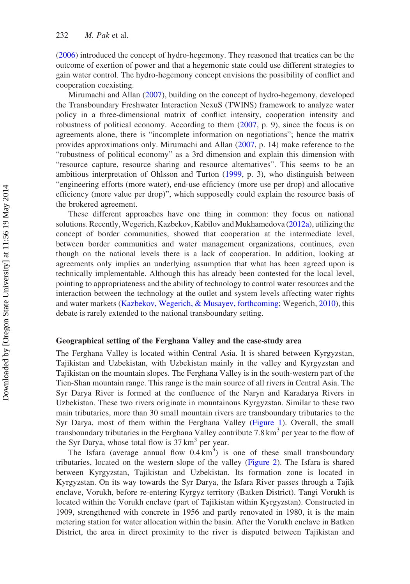([2006\)](#page-16-1) introduced the concept of hydro-hegemony. They reasoned that treaties can be the outcome of exertion of power and that a hegemonic state could use different strategies to gain water control. The hydro-hegemony concept envisions the possibility of conflict and cooperation coexisting.

Mirumachi and Allan ([2007\)](#page-14-5), building on the concept of hydro-hegemony, developed the Transboundary Freshwater Interaction NexuS (TWINS) framework to analyze water policy in a three-dimensional matrix of conflict intensity, cooperation intensity and robustness of political economy. According to them  $(2007, p. 9)$  $(2007, p. 9)$  $(2007, p. 9)$ , since the focus is on agreements alone, there is "incomplete information on negotiations"; hence the matrix provides approximations only. Mirumachi and Allan [\(2007](#page-14-5), p. 14) make reference to the "robustness of political economy" as a 3rd dimension and explain this dimension with "resource capture, resource sharing and resource alternatives". This seems to be an ambitious interpretation of Ohlsson and Turton ([1999,](#page-14-6) p. 3), who distinguish between "engineering efforts (more water), end-use efficiency (more use per drop) and allocative efficiency (more value per drop)", which supposedly could explain the resource basis of the brokered agreement.

These different approaches have one thing in common: they focus on national solutions. Recently, Wegerich, Kazbekov, Kabilov and Mukhamedova [\(2012a\)](#page-15-5), utilizing the concept of border communities, showed that cooperation at the intermediate level, between border communities and water management organizations, continues, even though on the national levels there is a lack of cooperation. In addition, looking at agreements only implies an underlying assumption that what has been agreed upon is technically implementable. Although this has already been contested for the local level, pointing to appropriateness and the ability of technology to control water resources and the interaction between the technology at the outlet and system levels affecting water rights and water markets ([Kazbekov, Wegerich, & Musayev, forthcoming;](#page-14-7) Wegerich, [2010](#page-15-6)), this debate is rarely extended to the national transboundary setting.

#### Geographical setting of the Ferghana Valley and the case-study area

The Ferghana Valley is located within Central Asia. It is shared between Kyrgyzstan, Tajikistan and Uzbekistan, with Uzbekistan mainly in the valley and Kyrgyzstan and Tajikistan on the mountain slopes. The Ferghana Valley is in the south-western part of the Tien-Shan mountain range. This range is the main source of all rivers in Central Asia. The Syr Darya River is formed at the confluence of the Naryn and Karadarya Rivers in Uzbekistan. These two rivers originate in mountainous Kyrgyzstan. Similar to these two main tributaries, more than 30 small mountain rivers are transboundary tributaries to the Syr Darya, most of them within the Ferghana Valley ([Figure 1](#page-4-0)). Overall, the small transboundary tributaries in the Ferghana Valley contribute  $7.8 \text{ km}^3$  per year to the flow of the Syr Darya, whose total flow is  $37 \text{ km}^3$  per year.

The Isfara (average annual flow  $0.4 \text{ km}^3$ ) is one of these small transboundary tributaries, located on the western slope of the valley [\(Figure 2](#page-5-0)). The Isfara is shared between Kyrgyzstan, Tajikistan and Uzbekistan. Its formation zone is located in Kyrgyzstan. On its way towards the Syr Darya, the Isfara River passes through a Tajik enclave, Vorukh, before re-entering Kyrgyz territory (Batken District). Tangi Vorukh is located within the Vorukh enclave (part of Tajikistan within Kyrgyzstan). Constructed in 1909, strengthened with concrete in 1956 and partly renovated in 1980, it is the main metering station for water allocation within the basin. After the Vorukh enclave in Batken District, the area in direct proximity to the river is disputed between Tajikistan and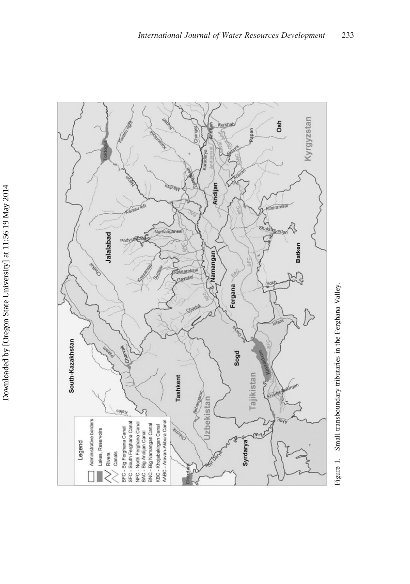<span id="page-4-0"></span>

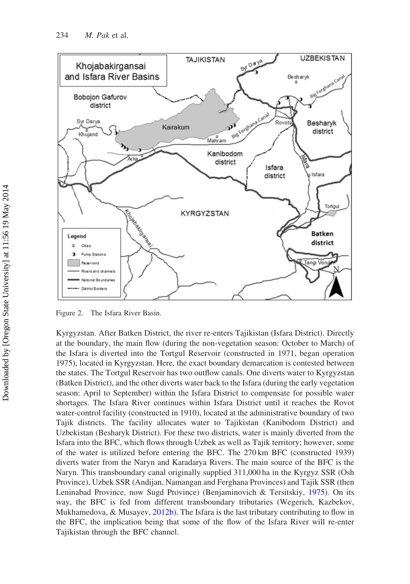<span id="page-5-0"></span>

Figure 2. The Isfara River Basin.

Kyrgyzstan. After Batken District, the river re-enters Tajikistan (Isfara District). Directly at the boundary, the main flow (during the non-vegetation season: October to March) of the Isfara is diverted into the Tortgul Reservoir (constructed in 1971, began operation 1975), located in Kyrgyzstan. Here, the exact boundary demarcation is contested between the states. The Tortgul Reservoir has two outflow canals. One diverts water to Kyrgyzstan (Batken District), and the other diverts water back to the Isfara (during the early vegetation season: April to September) within the Isfara District to compensate for possible water shortages. The Isfara River continues within Isfara District until it reaches the Rovot water-control facility (constructed in 1910), located at the administrative boundary of two Tajik districts. The facility allocates water to Tajikistan (Kanibodom District) and Uzbekistan (Besharyk District). For these two districts, water is mainly diverted from the Isfara into the BFC, which flows through Uzbek as well as Tajik territory; however, some of the water is utilized before entering the BFC. The 270 km BFC (constructed 1939) diverts water from the Naryn and Karadarya Rivers. The main source of the BFC is the Naryn. This transboundary canal originally supplied 311,000 ha in the Kyrgyz SSR (Osh Province), Uzbek SSR (Andijan, Namangan and Ferghana Provinces) and Tajik SSR (then Leninabad Province, now Sugd Province) (Benjaminovich & Tersitskiy, [1975\)](#page-14-8). On its way, the BFC is fed from different transboundary tributaries (Wegerich, Kazbekov, Mukhamedova, & Musayev, [2012b\)](#page-16-5). The Isfara is the last tributary contributing to flow in the BFC, the implication being that some of the flow of the Isfara River will re-enter Tajikistan through the BFC channel.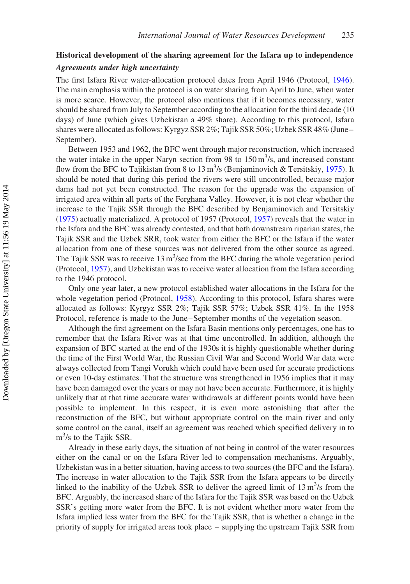### Historical development of the sharing agreement for the Isfara up to independence Agreements under high uncertainty

The first Isfara River water-allocation protocol dates from April 1946 (Protocol, [1946](#page-15-7)). The main emphasis within the protocol is on water sharing from April to June, when water is more scarce. However, the protocol also mentions that if it becomes necessary, water should be shared from July to September according to the allocation for the third decade (10 days) of June (which gives Uzbekistan a 49% share). According to this protocol, Isfara shares were allocated as follows: Kyrgyz SSR 2%; Tajik SSR 50%; Uzbek SSR 48% (June – September).

Between 1953 and 1962, the BFC went through major reconstruction, which increased the water intake in the upper Naryn section from 98 to  $150 \text{ m}^3$ /s, and increased constant flow from the BFC to Tajikistan from 8 to  $13 \text{ m}^3$ /s (Benjaminovich & Tersitskiy, [1975\)](#page-14-8). It should be noted that during this period the rivers were still uncontrolled, because major dams had not yet been constructed. The reason for the upgrade was the expansion of irrigated area within all parts of the Ferghana Valley. However, it is not clear whether the increase to the Tajik SSR through the BFC described by Benjaminovich and Tersitskiy ([1975\)](#page-14-8) actually materialized. A protocol of 1957 (Protocol, [1957](#page-15-8)) reveals that the water in the Isfara and the BFC was already contested, and that both downstream riparian states, the Tajik SSR and the Uzbek SRR, took water from either the BFC or the Isfara if the water allocation from one of these sources was not delivered from the other source as agreed. The Tajik SSR was to receive  $13 \text{ m}^3/\text{sec}$  from the BFC during the whole vegetation period (Protocol, [1957](#page-15-8)), and Uzbekistan was to receive water allocation from the Isfara according to the 1946 protocol.

Only one year later, a new protocol established water allocations in the Isfara for the whole vegetation period (Protocol, [1958](#page-15-9)). According to this protocol, Isfara shares were allocated as follows: Kyrgyz SSR 2%; Tajik SSR 57%; Uzbek SSR 41%. In the 1958 Protocol, reference is made to the June –September months of the vegetation season.

Although the first agreement on the Isfara Basin mentions only percentages, one has to remember that the Isfara River was at that time uncontrolled. In addition, although the expansion of BFC started at the end of the 1930s it is highly questionable whether during the time of the First World War, the Russian Civil War and Second World War data were always collected from Tangi Vorukh which could have been used for accurate predictions or even 10-day estimates. That the structure was strengthened in 1956 implies that it may have been damaged over the years or may not have been accurate. Furthermore, it is highly unlikely that at that time accurate water withdrawals at different points would have been possible to implement. In this respect, it is even more astonishing that after the reconstruction of the BFC, but without appropriate control on the main river and only some control on the canal, itself an agreement was reached which specified delivery in to  $m^3$ /s to the Tajik SSR.

Already in these early days, the situation of not being in control of the water resources either on the canal or on the Isfara River led to compensation mechanisms. Arguably, Uzbekistan was in a better situation, having access to two sources (the BFC and the Isfara). The increase in water allocation to the Tajik SSR from the Isfara appears to be directly linked to the inability of the Uzbek SSR to deliver the agreed limit of  $13 \text{ m}^3/\text{s}$  from the BFC. Arguably, the increased share of the Isfara for the Tajik SSR was based on the Uzbek SSR's getting more water from the BFC. It is not evident whether more water from the Isfara implied less water from the BFC for the Tajik SSR, that is whether a change in the priority of supply for irrigated areas took place – supplying the upstream Tajik SSR from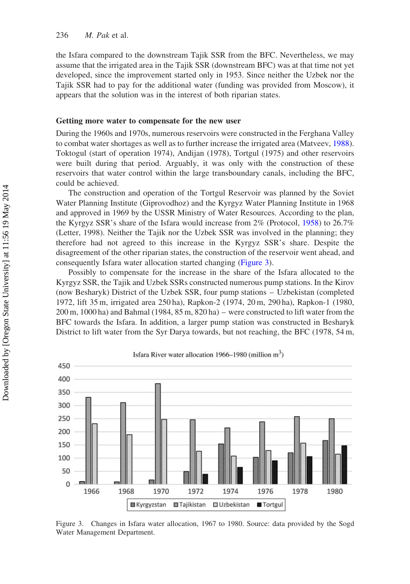the Isfara compared to the downstream Tajik SSR from the BFC. Nevertheless, we may assume that the irrigated area in the Tajik SSR (downstream BFC) was at that time not yet developed, since the improvement started only in 1953. Since neither the Uzbek nor the Tajik SSR had to pay for the additional water (funding was provided from Moscow), it appears that the solution was in the interest of both riparian states.

#### Getting more water to compensate for the new user

During the 1960s and 1970s, numerous reservoirs were constructed in the Ferghana Valley to combat water shortages as well as to further increase the irrigated area (Matveev, [1988](#page-14-9)). Toktogul (start of operation 1974), Andijan (1978), Tortgul (1975) and other reservoirs were built during that period. Arguably, it was only with the construction of these reservoirs that water control within the large transboundary canals, including the BFC, could be achieved.

The construction and operation of the Tortgul Reservoir was planned by the Soviet Water Planning Institute (Giprovodhoz) and the Kyrgyz Water Planning Institute in 1968 and approved in 1969 by the USSR Ministry of Water Resources. According to the plan, the Kyrgyz SSR's share of the Isfara would increase from 2% (Protocol, [1958](#page-15-9)) to 26.7% (Letter, 1998). Neither the Tajik nor the Uzbek SSR was involved in the planning; they therefore had not agreed to this increase in the Kyrgyz SSR's share. Despite the disagreement of the other riparian states, the construction of the reservoir went ahead, and consequently Isfara water allocation started changing [\(Figure 3](#page-7-0)).

Possibly to compensate for the increase in the share of the Isfara allocated to the Kyrgyz SSR, the Tajik and Uzbek SSRs constructed numerous pump stations. In the Kirov (now Besharyk) District of the Uzbek SSR, four pump stations – Uzbekistan (completed 1972, lift 35 m, irrigated area 250 ha), Rapkon-2 (1974, 20 m, 290 ha), Rapkon-1 (1980, 200 m, 1000 ha) and Bahmal (1984, 85 m, 820 ha) – were constructed to lift water from the BFC towards the Isfara. In addition, a larger pump station was constructed in Besharyk District to lift water from the Syr Darya towards, but not reaching, the BFC (1978, 54 m,

<span id="page-7-0"></span>

Figure 3. Changes in Isfara water allocation, 1967 to 1980. Source: data provided by the Sogd Water Management Department.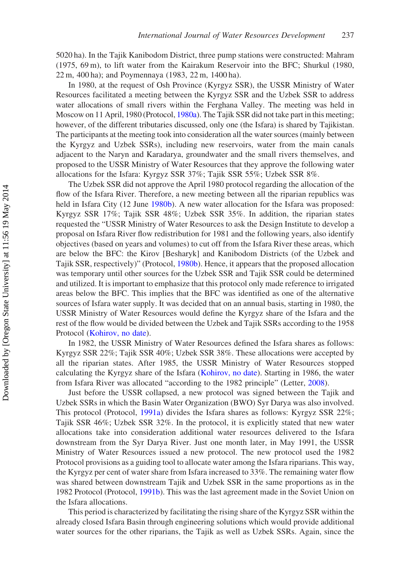5020 ha). In the Tajik Kanibodom District, three pump stations were constructed: Mahram (1975, 69 m), to lift water from the Kairakum Reservoir into the BFC; Shurkul (1980, 22 m, 400 ha); and Poymennaya (1983, 22 m, 1400 ha).

In 1980, at the request of Osh Province (Kyrgyz SSR), the USSR Ministry of Water Resources facilitated a meeting between the Kyrgyz SSR and the Uzbek SSR to address water allocations of small rivers within the Ferghana Valley. The meeting was held in Moscow on 11 April, 1980 (Protocol, [1980a](#page-15-10)). The Tajik SSR did not take part in this meeting; however, of the different tributaries discussed, only one (the Isfara) is shared by Tajikistan. The participants at the meeting took into consideration all the water sources (mainly between the Kyrgyz and Uzbek SSRs), including new reservoirs, water from the main canals adjacent to the Naryn and Karadarya, groundwater and the small rivers themselves, and proposed to the USSR Ministry of Water Resources that they approve the following water allocations for the Isfara: Kyrgyz SSR 37%; Tajik SSR 55%; Uzbek SSR 8%.

The Uzbek SSR did not approve the April 1980 protocol regarding the allocation of the flow of the Isfara River. Therefore, a new meeting between all the riparian republics was held in Isfara City (12 June [1980b\)](#page-15-11). A new water allocation for the Isfara was proposed: Kyrgyz SSR 17%; Tajik SSR 48%; Uzbek SSR 35%. In addition, the riparian states requested the "USSR Ministry of Water Resources to ask the Design Institute to develop a proposal on Isfara River flow redistribution for 1981 and the following years, also identify objectives (based on years and volumes) to cut off from the Isfara River these areas, which are below the BFC: the Kirov [Besharyk] and Kanibodom Districts (of the Uzbek and Tajik SSR, respectively)" (Protocol, [1980b\)](#page-15-11). Hence, it appears that the proposed allocation was temporary until other sources for the Uzbek SSR and Tajik SSR could be determined and utilized. It is important to emphasize that this protocol only made reference to irrigated areas below the BFC. This implies that the BFC was identified as one of the alternative sources of Isfara water supply. It was decided that on an annual basis, starting in 1980, the USSR Ministry of Water Resources would define the Kyrgyz share of the Isfara and the rest of the flow would be divided between the Uzbek and Tajik SSRs according to the 1958 Protocol [\(Kohirov, no date\)](#page-14-10).

In 1982, the USSR Ministry of Water Resources defined the Isfara shares as follows: Kyrgyz SSR 22%; Tajik SSR 40%; Uzbek SSR 38%. These allocations were accepted by all the riparian states. After 1985, the USSR Ministry of Water Resources stopped calculating the Kyrgyz share of the Isfara [\(Kohirov, no date](#page-14-10)). Starting in 1986, the water from Isfara River was allocated "according to the 1982 principle" (Letter, [2008](#page-14-11)).

Just before the USSR collapsed, a new protocol was signed between the Tajik and Uzbek SSRs in which the Basin Water Organization (BWO) Syr Darya was also involved. This protocol (Protocol, [1991a\)](#page-15-12) divides the Isfara shares as follows: Kyrgyz SSR 22%; Tajik SSR 46%; Uzbek SSR 32%. In the protocol, it is explicitly stated that new water allocations take into consideration additional water resources delivered to the Isfara downstream from the Syr Darya River. Just one month later, in May 1991, the USSR Ministry of Water Resources issued a new protocol. The new protocol used the 1982 Protocol provisions as a guiding tool to allocate water among the Isfara riparians. This way, the Kyrgyz per cent of water share from Isfara increased to 33%. The remaining water flow was shared between downstream Tajik and Uzbek SSR in the same proportions as in the 1982 Protocol (Protocol, [1991b](#page-15-13)). This was the last agreement made in the Soviet Union on the Isfara allocations.

This period is characterized by facilitating the rising share of the Kyrgyz SSR within the already closed Isfara Basin through engineering solutions which would provide additional water sources for the other riparians, the Tajik as well as Uzbek SSRs. Again, since the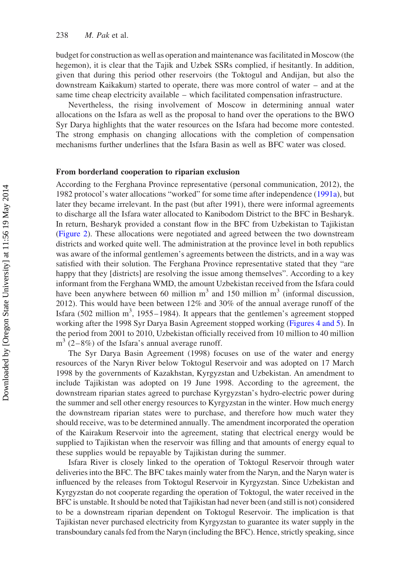budget for construction as well as operation and maintenance was facilitated in Moscow (the hegemon), it is clear that the Tajik and Uzbek SSRs complied, if hesitantly. In addition, given that during this period other reservoirs (the Toktogul and Andijan, but also the downstream Kaikakum) started to operate, there was more control of water – and at the same time cheap electricity available – which facilitated compensation infrastructure.

Nevertheless, the rising involvement of Moscow in determining annual water allocations on the Isfara as well as the proposal to hand over the operations to the BWO Syr Darya highlights that the water resources on the Isfara had become more contested. The strong emphasis on changing allocations with the completion of compensation mechanisms further underlines that the Isfara Basin as well as BFC water was closed.

#### From borderland cooperation to riparian exclusion

According to the Ferghana Province representative (personal communication, 2012), the 1982 protocol's water allocations "worked" for some time after independence ([1991a](#page-15-12)), but later they became irrelevant. In the past (but after 1991), there were informal agreements to discharge all the Isfara water allocated to Kanibodom District to the BFC in Besharyk. In return, Besharyk provided a constant flow in the BFC from Uzbekistan to Tajikistan ([Figure 2](#page-5-0)). These allocations were negotiated and agreed between the two downstream districts and worked quite well. The administration at the province level in both republics was aware of the informal gentlemen's agreements between the districts, and in a way was satisfied with their solution. The Ferghana Province representative stated that they "are happy that they [districts] are resolving the issue among themselves". According to a key informant from the Ferghana WMD, the amount Uzbekistan received from the Isfara could have been anywhere between 60 million  $m<sup>3</sup>$  and 150 million  $m<sup>3</sup>$  (informal discussion, 2012). This would have been between 12% and 30% of the annual average runoff of the Isfara  $(502 \text{ million m}^3, 1955 - 1984)$ . It appears that the gentlemen's agreement stopped working after the 1998 Syr Darya Basin Agreement stopped working [\(Figures 4 and 5](#page-10-0)). In the period from 2001 to 2010, Uzbekistan officially received from 10 million to 40 million  $m<sup>3</sup>$  (2–8%) of the Isfara's annual average runoff.

The Syr Darya Basin Agreement (1998) focuses on use of the water and energy resources of the Naryn River below Toktogul Reservoir and was adopted on 17 March 1998 by the governments of Kazakhstan, Kyrgyzstan and Uzbekistan. An amendment to include Tajikistan was adopted on 19 June 1998. According to the agreement, the downstream riparian states agreed to purchase Kyrgyzstan's hydro-electric power during the summer and sell other energy resources to Kyrgyzstan in the winter. How much energy the downstream riparian states were to purchase, and therefore how much water they should receive, was to be determined annually. The amendment incorporated the operation of the Kairakum Reservoir into the agreement, stating that electrical energy would be supplied to Tajikistan when the reservoir was filling and that amounts of energy equal to these supplies would be repayable by Tajikistan during the summer.

Isfara River is closely linked to the operation of Toktogul Reservoir through water deliveries into the BFC. The BFC takes mainly water from the Naryn, and the Naryn water is influenced by the releases from Toktogul Reservoir in Kyrgyzstan. Since Uzbekistan and Kyrgyzstan do not cooperate regarding the operation of Toktogul, the water received in the BFC is unstable. It should be noted that Tajikistan had never been (and still is not) considered to be a downstream riparian dependent on Toktogul Reservoir. The implication is that Tajikistan never purchased electricity from Kyrgyzstan to guarantee its water supply in the transboundary canals fed from the Naryn (including the BFC). Hence, strictly speaking, since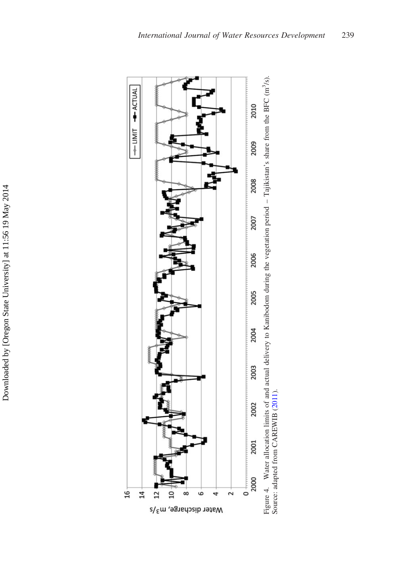

<span id="page-10-0"></span>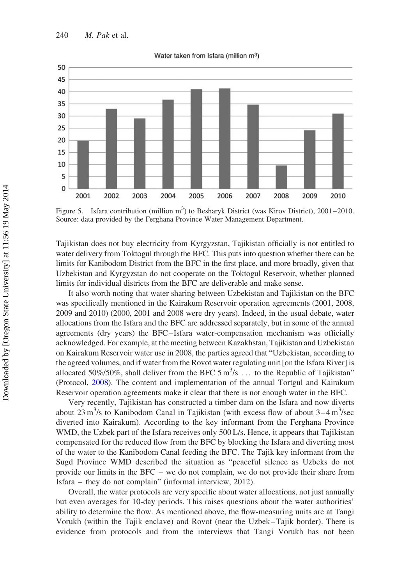

Water taken from Isfara (million m<sup>3</sup>)

Figure 5. Isfara contribution (million m<sup>3</sup>) to Besharyk District (was Kirov District), 2001–2010. Source: data provided by the Ferghana Province Water Management Department.

Tajikistan does not buy electricity from Kyrgyzstan, Tajikistan officially is not entitled to water delivery from Toktogul through the BFC. This puts into question whether there can be limits for Kanibodom District from the BFC in the first place, and more broadly, given that Uzbekistan and Kyrgyzstan do not cooperate on the Toktogul Reservoir, whether planned limits for individual districts from the BFC are deliverable and make sense.

It also worth noting that water sharing between Uzbekistan and Tajikistan on the BFC was specifically mentioned in the Kairakum Reservoir operation agreements (2001, 2008, 2009 and 2010) (2000, 2001 and 2008 were dry years). Indeed, in the usual debate, water allocations from the Isfara and the BFC are addressed separately, but in some of the annual agreements (dry years) the BFC–Isfara water-compensation mechanism was officially acknowledged. For example, at the meeting between Kazakhstan, Tajikistan and Uzbekistan on Kairakum Reservoir water use in 2008, the parties agreed that "Uzbekistan, according to the agreed volumes, and if water from the Rovot water regulating unit [on the Isfara River] is allocated 50%/50%, shall deliver from the BFC  $5 \text{ m}^3/\text{s}$  ... to the Republic of Tajikistan" (Protocol, [2008](#page-15-14)). The content and implementation of the annual Tortgul and Kairakum Reservoir operation agreements make it clear that there is not enough water in the BFC.

Very recently, Tajikistan has constructed a timber dam on the Isfara and now diverts about  $23 \text{ m}^3$ /s to Kanibodom Canal in Tajikistan (with excess flow of about  $3-4 \text{ m}^3$ /sec diverted into Kairakum). According to the key informant from the Ferghana Province WMD, the Uzbek part of the Isfara receives only 500 L/s. Hence, it appears that Tajikistan compensated for the reduced flow from the BFC by blocking the Isfara and diverting most of the water to the Kanibodom Canal feeding the BFC. The Tajik key informant from the Sugd Province WMD described the situation as "peaceful silence as Uzbeks do not provide our limits in the BFC – we do not complain, we do not provide their share from Isfara – they do not complain" (informal interview, 2012).

Overall, the water protocols are very specific about water allocations, not just annually but even averages for 10-day periods. This raises questions about the water authorities' ability to determine the flow. As mentioned above, the flow-measuring units are at Tangi Vorukh (within the Tajik enclave) and Rovot (near the Uzbek –Tajik border). There is evidence from protocols and from the interviews that Tangi Vorukh has not been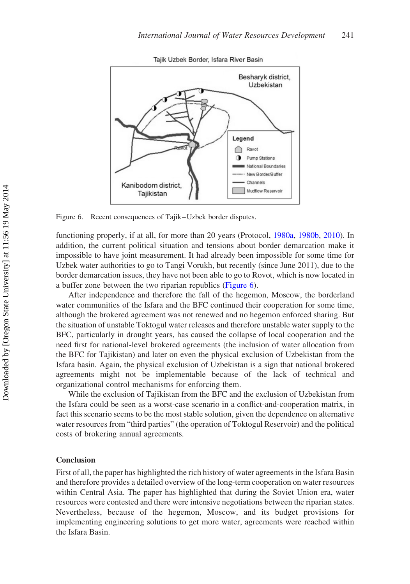<span id="page-12-0"></span>

Taiik Uzbek Border, Isfara River Basin

Figure 6. Recent consequences of Tajik –Uzbek border disputes.

functioning properly, if at all, for more than 20 years (Protocol, [1980a](#page-15-10), [1980b](#page-15-11), [2010\)](#page-15-15). In addition, the current political situation and tensions about border demarcation make it impossible to have joint measurement. It had already been impossible for some time for Uzbek water authorities to go to Tangi Vorukh, but recently (since June 2011), due to the border demarcation issues, they have not been able to go to Rovot, which is now located in a buffer zone between the two riparian republics ([Figure 6\)](#page-12-0).

After independence and therefore the fall of the hegemon, Moscow, the borderland water communities of the Isfara and the BFC continued their cooperation for some time, although the brokered agreement was not renewed and no hegemon enforced sharing. But the situation of unstable Toktogul water releases and therefore unstable water supply to the BFC, particularly in drought years, has caused the collapse of local cooperation and the need first for national-level brokered agreements (the inclusion of water allocation from the BFC for Tajikistan) and later on even the physical exclusion of Uzbekistan from the Isfara basin. Again, the physical exclusion of Uzbekistan is a sign that national brokered agreements might not be implementable because of the lack of technical and organizational control mechanisms for enforcing them.

While the exclusion of Tajikistan from the BFC and the exclusion of Uzbekistan from the Isfara could be seen as a worst-case scenario in a conflict-and-cooperation matrix, in fact this scenario seems to be the most stable solution, given the dependence on alternative water resources from "third parties" (the operation of Toktogul Reservoir) and the political costs of brokering annual agreements.

#### Conclusion

First of all, the paper has highlighted the rich history of water agreements in the Isfara Basin and therefore provides a detailed overview of the long-term cooperation on water resources within Central Asia. The paper has highlighted that during the Soviet Union era, water resources were contested and there were intensive negotiations between the riparian states. Nevertheless, because of the hegemon, Moscow, and its budget provisions for implementing engineering solutions to get more water, agreements were reached within the Isfara Basin.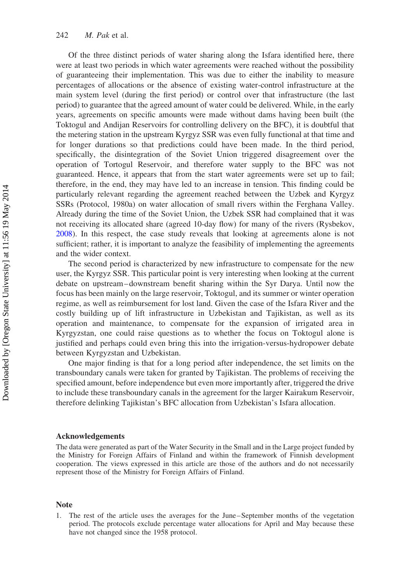Of the three distinct periods of water sharing along the Isfara identified here, there were at least two periods in which water agreements were reached without the possibility of guaranteeing their implementation. This was due to either the inability to measure percentages of allocations or the absence of existing water-control infrastructure at the main system level (during the first period) or control over that infrastructure (the last period) to guarantee that the agreed amount of water could be delivered. While, in the early years, agreements on specific amounts were made without dams having been built (the Toktogul and Andijan Reservoirs for controlling delivery on the BFC), it is doubtful that the metering station in the upstream Kyrgyz SSR was even fully functional at that time and for longer durations so that predictions could have been made. In the third period, specifically, the disintegration of the Soviet Union triggered disagreement over the operation of Tortogul Reservoir, and therefore water supply to the BFC was not guaranteed. Hence, it appears that from the start water agreements were set up to fail; therefore, in the end, they may have led to an increase in tension. This finding could be particularly relevant regarding the agreement reached between the Uzbek and Kyrgyz SSRs (Protocol, 1980a) on water allocation of small rivers within the Ferghana Valley. Already during the time of the Soviet Union, the Uzbek SSR had complained that it was not receiving its allocated share (agreed 10-day flow) for many of the rivers (Rysbekov, [2008](#page-15-16)). In this respect, the case study reveals that looking at agreements alone is not sufficient; rather, it is important to analyze the feasibility of implementing the agreements and the wider context.

The second period is characterized by new infrastructure to compensate for the new user, the Kyrgyz SSR. This particular point is very interesting when looking at the current debate on upstream – downstream benefit sharing within the Syr Darya. Until now the focus has been mainly on the large reservoir, Toktogul, and its summer or winter operation regime, as well as reimbursement for lost land. Given the case of the Isfara River and the costly building up of lift infrastructure in Uzbekistan and Tajikistan, as well as its operation and maintenance, to compensate for the expansion of irrigated area in Kyrgyzstan, one could raise questions as to whether the focus on Toktogul alone is justified and perhaps could even bring this into the irrigation-versus-hydropower debate between Kyrgyzstan and Uzbekistan.

One major finding is that for a long period after independence, the set limits on the transboundary canals were taken for granted by Tajikistan. The problems of receiving the specified amount, before independence but even more importantly after, triggered the drive to include these transboundary canals in the agreement for the larger Kairakum Reservoir, therefore delinking Tajikistan's BFC allocation from Uzbekistan's Isfara allocation.

#### Acknowledgements

The data were generated as part of the Water Security in the Small and in the Large project funded by the Ministry for Foreign Affairs of Finland and within the framework of Finnish development cooperation. The views expressed in this article are those of the authors and do not necessarily represent those of the Ministry for Foreign Affairs of Finland.

#### <span id="page-13-0"></span>Note

1. The rest of the article uses the averages for the June –September months of the vegetation period. The protocols exclude percentage water allocations for April and May because these have not changed since the 1958 protocol.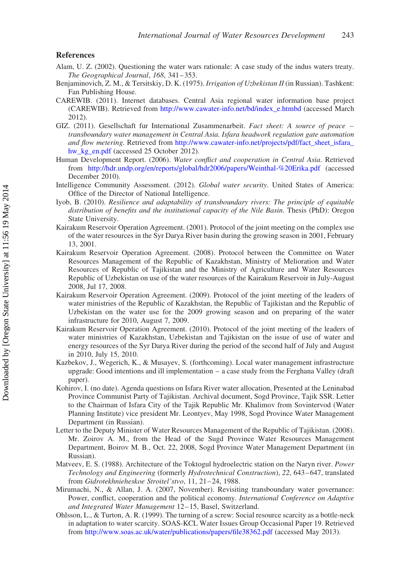#### References

- <span id="page-14-3"></span>Alam, U. Z. (2002). Questioning the water wars rationale: A case study of the indus waters treaty. The Geographical Journal, 168, 341-353.
- <span id="page-14-8"></span>Benjaminovich, Z. M., & Tersitskiy, D. K. (1975). *Irrigation of Uzbekistan II* (in Russian). Tashkent: Fan Publishing House.
- <span id="page-14-12"></span>CAREWIB. (2011). Internet databases. Central Asia regional water information base project (CAREWIB). Retrieved from [http://www.cawater-info.net/bd/index\\_e.htmbd](http://www.cawater-info.net/bd/index_e.htm#bd) (accessed March 2012).
- <span id="page-14-2"></span>GIZ. (2011). Gesellschaft fur International Zusammenarbeit. Fact sheet: A source of peace – transboundary water management in Central Asia. Isfara headwork regulation gate automation and flow metering. Retrieved from [http://www.cawater-info.net/projects/pdf/fact\\_sheet\\_isfara\\_](http://www.cawater-info.net/projects/pdf/fact_sheet_isfara_hw_kg_en.pdf) [hw\\_kg\\_en.pdf](http://www.cawater-info.net/projects/pdf/fact_sheet_isfara_hw_kg_en.pdf) (accessed 25 October 2012).
- <span id="page-14-0"></span>Human Development Report. (2006). Water conflict and cooperation in Central Asia. Retrieved from <http://hdr.undp.org/en/reports/global/hdr2006/papers/Weinthal-%20Erika.pdf> (accessed December 2010).
- <span id="page-14-1"></span>Intelligence Community Assessment. (2012). Global water security. United States of America: Office of the Director of National Intelligence.
- <span id="page-14-4"></span>Iyob, B. (2010). Resilience and adaptability of transboundary rivers: The principle of equitable distribution of benefits and the institutional capacity of the Nile Basin. Thesis (PhD): Oregon State University.
- Kairakum Reservoir Operation Agreement. (2001). Protocol of the joint meeting on the complex use of the water resources in the Syr Darya River basin during the growing season in 2001, February 13, 2001.
- Kairakum Reservoir Operation Agreement. (2008). Protocol between the Committee on Water Resources Management of the Republic of Kazakhstan, Ministry of Melioration and Water Resources of Republic of Tajikistan and the Ministry of Agriculture and Water Resources Republic of Uzbekistan on use of the water resources of the Kairakum Reservoir in July-August 2008, Jul 17, 2008.
- Kairakum Reservoir Operation Agreement. (2009). Protocol of the joint meeting of the leaders of water ministries of the Republic of Kazakhstan, the Republic of Tajikistan and the Republic of Uzbekistan on the water use for the 2009 growing season and on preparing of the water infrastructure for 2010, August 7, 2009.
- Kairakum Reservoir Operation Agreement. (2010). Protocol of the joint meeting of the leaders of water ministries of Kazakhstan, Uzbekistan and Tajikistan on the issue of use of water and energy resources of the Syr Darya River during the period of the second half of July and August in 2010, July 15, 2010.
- <span id="page-14-7"></span>Kazbekov, J., Wegerich, K., & Musayev, S. (forthcoming). Local water management infrastructure upgrade: Good intentions and ill implementation – a case study from the Ferghana Valley (draft paper).
- <span id="page-14-10"></span>Kohirov, I. (no date). Agenda questions on Isfara River water allocation, Presented at the Leninabad Province Communist Party of Tajikistan. Archival document, Sogd Province, Tajik SSR. Letter to the Chairman of Isfara City of the Tajik Republic Mr. Khalimov from Sovintervod (Water Planning Institute) vice president Mr. Leontyev, May 1998, Sogd Province Water Management Department (in Russian).
- <span id="page-14-11"></span>Letter to the Deputy Minister of Water Resources Management of the Republic of Tajikistan. (2008). Mr. Zoirov A. M., from the Head of the Sugd Province Water Resources Management Department, Boirov M. B., Oct. 22, 2008, Sogd Province Water Management Department (in Russian).
- <span id="page-14-9"></span>Matveev, E. S. (1988). Architecture of the Toktogul hydroelectric station on the Naryn river. Power Technology and Engineering (formerly Hydrotechnical Construction), 22, 643–647, translated from Gidrotekhnieheskoe Stroitel'stvo, 11, 21-24, 1988.
- <span id="page-14-5"></span>Mirumachi, N., & Allan, J. A. (2007, November). Revisiting transboundary water governance: Power, conflict, cooperation and the political economy. International Conference on Adaptive and Integrated Water Management 12-15, Basel, Switzerland.
- <span id="page-14-6"></span>Ohlsson, L., & Turton, A. R. (1999). The turning of a screw: Social resource scarcity as a bottle-neck in adaptation to water scarcity. SOAS-KCL Water Issues Group Occasional Paper 19. Retrieved from <http://www.soas.ac.uk/water/publications/papers/file38362.pdf> (accessed May 2013).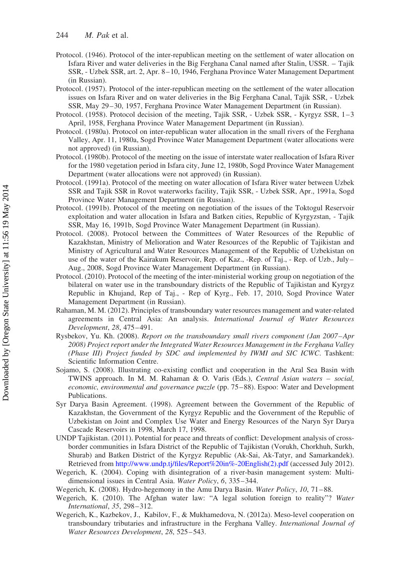- <span id="page-15-7"></span>Protocol. (1946). Protocol of the inter-republican meeting on the settlement of water allocation on Isfara River and water deliveries in the Big Ferghana Canal named after Stalin, USSR. – Tajik SSR, - Uzbek SSR, art. 2, Apr. 8 – 10, 1946, Ferghana Province Water Management Department (in Russian).
- <span id="page-15-8"></span>Protocol. (1957). Protocol of the inter-republican meeting on the settlement of the water allocation issues on Isfara River and on water deliveries in the Big Ferghana Canal, Tajik SSR, - Uzbek SSR, May 29 – 30, 1957, Ferghana Province Water Management Department (in Russian).
- <span id="page-15-9"></span>Protocol. (1958). Protocol decision of the meeting, Tajik SSR, - Uzbek SSR, - Kyrgyz SSR, 1 – 3 April, 1958, Ferghana Province Water Management Department (in Russian).
- <span id="page-15-10"></span>Protocol. (1980a). Protocol on inter-republican water allocation in the small rivers of the Ferghana Valley, Apr. 11, 1980a, Sogd Province Water Management Department (water allocations were not approved) (in Russian).
- <span id="page-15-11"></span>Protocol. (1980b). Protocol of the meeting on the issue of interstate water reallocation of Isfara River for the 1980 vegetation period in Isfara city, June 12, 1980b, Sogd Province Water Management Department (water allocations were not approved) (in Russian).
- <span id="page-15-12"></span>Protocol. (1991a). Protocol of the meeting on water allocation of Isfara River water between Uzbek SSR and Tajik SSR in Rovot waterworks facility, Tajik SSR, - Uzbek SSR, Apr., 1991a, Sogd Province Water Management Department (in Russian).
- <span id="page-15-13"></span>Protocol. (1991b). Protocol of the meeting on negotiation of the issues of the Toktogul Reservoir exploitation and water allocation in Isfara and Batken cities, Republic of Kyrgyzstan, - Tajik SSR, May 16, 1991b, Sogd Province Water Management Department (in Russian).
- <span id="page-15-14"></span>Protocol. (2008). Protocol between the Committees of Water Resources of the Republic of Kazakhstan, Ministry of Melioration and Water Resources of the Republic of Tajikistan and Ministry of Agricultural and Water Resources Management of the Republic of Uzbekistan on use of the water of the Kairakum Reservoir, Rep. of Kaz., -Rep. of Taj., - Rep. of Uzb., July– Aug., 2008, Sogd Province Water Management Department (in Russian).
- <span id="page-15-15"></span>Protocol. (2010). Protocol of the meeting of the inter-ministerial working group on negotiation of the bilateral on water use in the transboundary districts of the Republic of Tajikistan and Kyrgyz Republic in Khujand, Rep of Taj., - Rep of Kyrg., Feb. 17, 2010, Sogd Province Water Management Department (in Russian).
- <span id="page-15-3"></span>Rahaman, M. M. (2012). Principles of transboundary water resources management and water-related agreements in Central Asia: An analysis. International Journal of Water Resources Development, 28, 475– 491.
- <span id="page-15-16"></span>Rysbekov, Yu. Kh. (2008). Report on the transboundary small rivers component (Jan 2007–Apr 2008) Project report under the Integrated Water Resources Management in the Ferghana Valley (Phase III) Project funded by SDC and implemented by IWMI and SIC ICWC. Tashkent: Scientific Information Centre.
- <span id="page-15-0"></span>Sojamo, S. (2008). Illustrating co-existing conflict and cooperation in the Aral Sea Basin with TWINS approach. In M. M. Rahaman & O. Varis (Eds.), Central Asian waters – social, economic, environmental and governance puzzle (pp. 75 – 88). Espoo: Water and Development Publications.
- Syr Darya Basin Agreement. (1998). Agreement between the Government of the Republic of Kazakhstan, the Government of the Kyrgyz Republic and the Government of the Republic of Uzbekistan on Joint and Complex Use Water and Energy Resources of the Naryn Syr Darya Cascade Reservoirs in 1998, March 17, 1998.
- <span id="page-15-4"></span>UNDP Tajikistan. (2011). Potential for peace and threats of conflict: Development analysis of crossborder communities in Isfara District of the Republic of Tajikistan (Vorukh, Chorkhuh, Surkh, Shurab) and Batken District of the Kyrgyz Republic (Ak-Sai, Ak-Tatyr, and Samarkandek). Retrieved from [http://www.undp.tj/files/Report%20in%-20English\(2\).pdf](http://www.undp.tj/files/Report%20in%-20English(2).pdf) (accessed July 2012).
- <span id="page-15-2"></span><span id="page-15-1"></span>Wegerich, K. (2004). Coping with disintegration of a river-basin management system: Multidimensional issues in Central Asia. Water Policy, 6, 335– 344.
- <span id="page-15-6"></span>Wegerich, K. (2008). Hydro-hegemony in the Amu Darya Basin. Water Policy, 10, 71 – 88.
- <span id="page-15-5"></span>Wegerich, K. (2010). The Afghan water law: "A legal solution foreign to reality"? Water International, 35, 298– 312.
- Wegerich, K., Kazbekov, J., Kabilov, F., & Mukhamedova, N. (2012a). Meso-level cooperation on transboundary tributaries and infrastructure in the Ferghana Valley. International Journal of Water Resources Development, 28, 525-543.